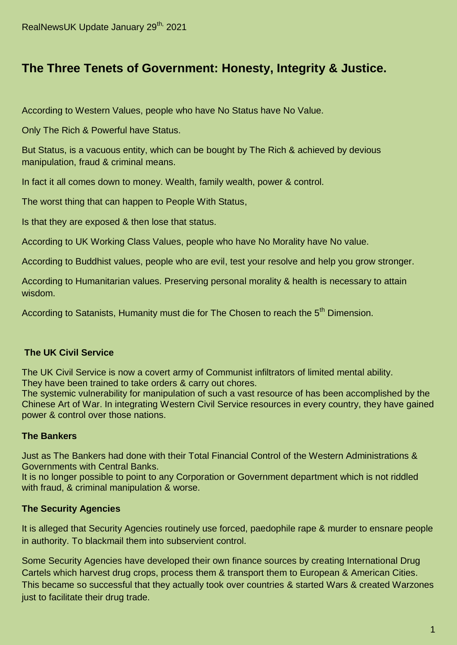# **The Three Tenets of Government: Honesty, Integrity & Justice.**

According to Western Values, people who have No Status have No Value.

Only The Rich & Powerful have Status.

But Status, is a vacuous entity, which can be bought by The Rich & achieved by devious manipulation, fraud & criminal means.

In fact it all comes down to money. Wealth, family wealth, power & control.

The worst thing that can happen to People With Status,

Is that they are exposed & then lose that status.

According to UK Working Class Values, people who have No Morality have No value.

According to Buddhist values, people who are evil, test your resolve and help you grow stronger.

According to Humanitarian values. Preserving personal morality & health is necessary to attain wisdom.

According to Satanists, Humanity must die for The Chosen to reach the 5<sup>th</sup> Dimension.

#### **The UK Civil Service**

The UK Civil Service is now a covert army of Communist infiltrators of limited mental ability. They have been trained to take orders & carry out chores.

The systemic vulnerability for manipulation of such a vast resource of has been accomplished by the Chinese Art of War. In integrating Western Civil Service resources in every country, they have gained power & control over those nations.

#### **The Bankers**

Just as The Bankers had done with their Total Financial Control of the Western Administrations & Governments with Central Banks.

It is no longer possible to point to any Corporation or Government department which is not riddled with fraud, & criminal manipulation & worse.

#### **The Security Agencies**

It is alleged that Security Agencies routinely use forced, paedophile rape & murder to ensnare people in authority. To blackmail them into subservient control.

Some Security Agencies have developed their own finance sources by creating International Drug Cartels which harvest drug crops, process them & transport them to European & American Cities. This became so successful that they actually took over countries & started Wars & created Warzones just to facilitate their drug trade.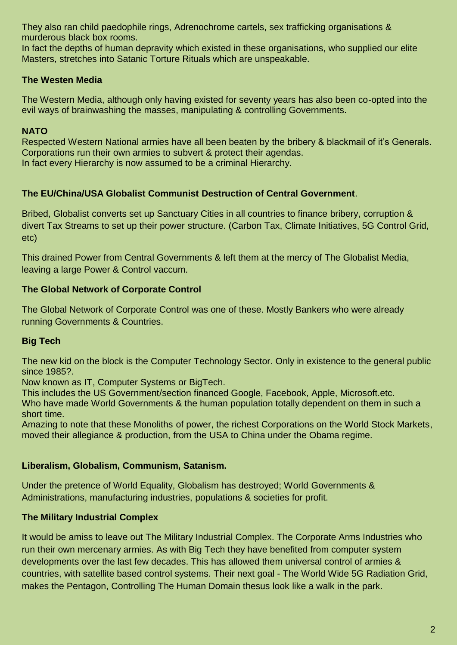They also ran child paedophile rings, Adrenochrome cartels, sex trafficking organisations & murderous black box rooms.

In fact the depths of human depravity which existed in these organisations, who supplied our elite Masters, stretches into Satanic Torture Rituals which are unspeakable.

### **The Westen Media**

The Western Media, although only having existed for seventy years has also been co-opted into the evil ways of brainwashing the masses, manipulating & controlling Governments.

## **NATO**

Respected Western National armies have all been beaten by the bribery & blackmail of it's Generals. Corporations run their own armies to subvert & protect their agendas. In fact every Hierarchy is now assumed to be a criminal Hierarchy.

### **The EU/China/USA Globalist Communist Destruction of Central Government**.

Bribed, Globalist converts set up Sanctuary Cities in all countries to finance bribery, corruption & divert Tax Streams to set up their power structure. (Carbon Tax, Climate Initiatives, 5G Control Grid, etc)

This drained Power from Central Governments & left them at the mercy of The Globalist Media, leaving a large Power & Control vaccum.

### **The Global Network of Corporate Control**

The Global Network of Corporate Control was one of these. Mostly Bankers who were already running Governments & Countries.

# **Big Tech**

The new kid on the block is the Computer Technology Sector. Only in existence to the general public since 1985?.

Now known as IT, Computer Systems or BigTech.

This includes the US Government/section financed Google, Facebook, Apple, Microsoft.etc.

Who have made World Governments & the human population totally dependent on them in such a short time.

Amazing to note that these Monoliths of power, the richest Corporations on the World Stock Markets, moved their allegiance & production, from the USA to China under the Obama regime.

### **Liberalism, Globalism, Communism, Satanism.**

Under the pretence of World Equality, Globalism has destroyed; World Governments & Administrations, manufacturing industries, populations & societies for profit.

# **The Military Industrial Complex**

It would be amiss to leave out The Military Industrial Complex. The Corporate Arms Industries who run their own mercenary armies. As with Big Tech they have benefited from computer system developments over the last few decades. This has allowed them universal control of armies & countries, with satellite based control systems. Their next goal - The World Wide 5G Radiation Grid, makes the Pentagon, Controlling The Human Domain thesus look like a walk in the park.